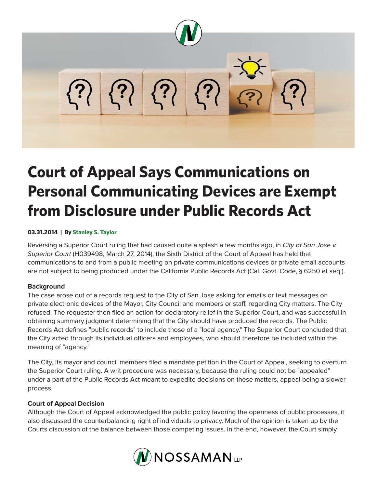

# **Court of Appeal Says Communications on Personal Communicating Devices are Exempt from Disclosure under Public Records Act**

## **03.31.2014 | By Stanley S. Taylor**

Reversing a Superior Court ruling that had caused quite a splash a few months ago, in *City of San Jose v. Superior Court* (H039498, March 27, 2014), the Sixth District of the Court of Appeal has held that communications to and from a public meeting on private communications devices or private email accounts are not subject to being produced under the California Public Records Act (Cal. Govt. Code, § 6250 et seq.).

## **Background**

The case arose out of a records request to the City of San Jose asking for emails or text messages on private electronic devices of the Mayor, City Council and members or staff, regarding City matters. The City refused. The requester then filed an action for declaratory relief in the Superior Court, and was successful in obtaining summary judgment determining that the City should have produced the records. The Public Records Act defines "public records" to include those of a "local agency." The Superior Court concluded that the City acted through its individual officers and employees, who should therefore be included within the meaning of "agency."

The City, its mayor and council members filed a mandate petition in the Court of Appeal, seeking to overturn the Superior Court ruling. A writ procedure was necessary, because the ruling could not be "appealed" under a part of the Public Records Act meant to expedite decisions on these matters, appeal being a slower process.

## **Court of Appeal Decision**

Although the Court of Appeal acknowledged the public policy favoring the openness of public processes, it also discussed the counterbalancing right of individuals to privacy. Much of the opinion is taken up by the Courts discussion of the balance between those competing issues. In the end, however, the Court simply